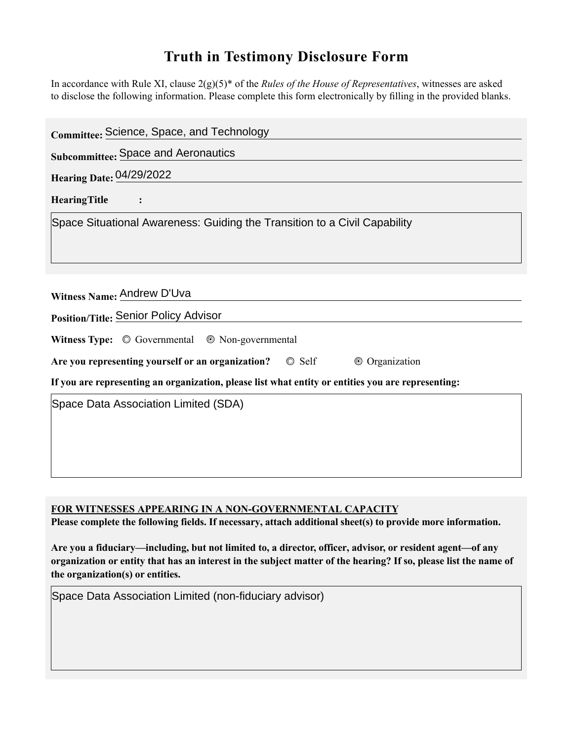## **Truth in Testimony Disclosure Form**

In accordance with Rule XI, clause 2(g)(5)\* of the *Rules of the House of Representatives*, witnesses are asked to disclose the following information. Please complete this form electronically by filling in the provided blanks.

| Committee: Science, Space, and Technology                                                                                                                                        |
|----------------------------------------------------------------------------------------------------------------------------------------------------------------------------------|
| <b>Subcommittee: Space and Aeronautics</b>                                                                                                                                       |
| <b>Hearing Date: 04/29/2022</b>                                                                                                                                                  |
| <b>HearingTitle</b>                                                                                                                                                              |
| Space Situational Awareness: Guiding the Transition to a Civil Capability                                                                                                        |
| Witness Name: Andrew D'Uva<br>Position/Title: Senior Policy Advisor                                                                                                              |
| Witness Type: $\circledcirc$ Governmental $\circledcirc$ Non-governmental                                                                                                        |
| Are you representing yourself or an organization? © Self<br>© Organization<br>If you are representing an organization, please list what entity or entities you are representing: |
| Space Data Association Limited (SDA)                                                                                                                                             |

**FOR WITNESSES APPEARING IN A NON-GOVERNMENTAL CAPACITY** 

Please complete the following fields. If necessary, attach additional sheet(s) to provide more information.

Are you a fiduciary—including, but not limited to, a director, officer, advisor, or resident agent—of any **organization or entity that has an interest in the subject matter of the hearing? If so, please list the name of the organization(s) or entities.**

Space Data Association Limited (non-fiduciary advisor)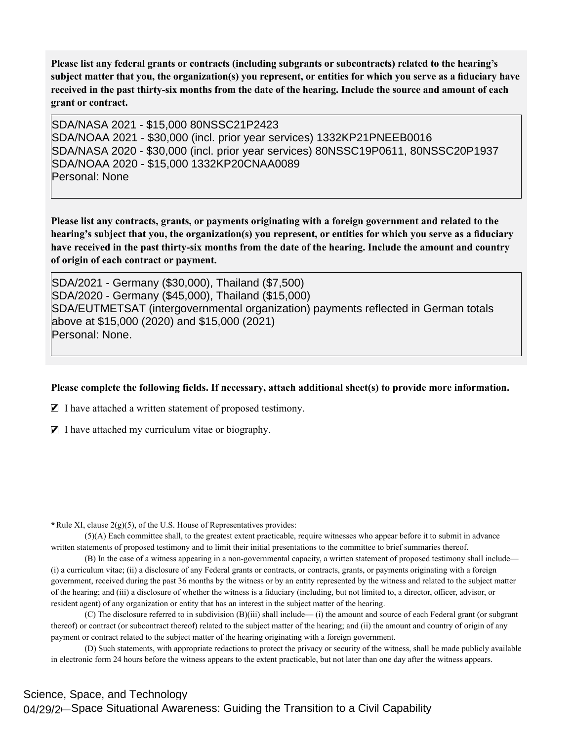Please list any federal grants or contracts (including subgrants or subcontracts) related to the hearing's subject matter that you, the organization(s) you represent, or entities for which you serve as a fiduciary have received in the past thirty-six months from the date of the hearing. Include the source and amount of each **grant or contract.** 

SDA/NASA 2021 - \$15,000 80NSSC21P2423 SDA/NOAA 2021 - \$30,000 (incl. prior year services) 1332KP21PNEEB0016 SDA/NASA 2020 - \$30,000 (incl. prior year services) 80NSSC19P0611, 80NSSC20P1937 SDA/NOAA 2020 - \$15,000 1332KP20CNAA0089 Personal: None

Please list any contracts, grants, or payments originating with a foreign government and related to the hearing's subject that you, the organization(s) you represent, or entities for which you serve as a fiduciary have received in the past thirty-six months from the date of the hearing. Include the amount and country **of origin of each contract or payment.** 

SDA/2021 - Germany (\$30,000), Thailand (\$7,500) SDA/2020 - Germany (\$45,000), Thailand (\$15,000) SDA/EUTMETSAT (intergovernmental organization) payments reflected in German totals above at \$15,000 (2020) and \$15,000 (2021) Personal: None.

## Please complete the following fields. If necessary, attach additional sheet(s) to provide more information.

 $\blacksquare$  I have attached a written statement of proposed testimony.

 $\blacksquare$  I have attached my curriculum vitae or biography.

**\***Rule XI, clause 2(g)(5), of the U.S. House of Representatives provides:

(5)(A) Each committee shall, to the greatest extent practicable, require witnesses who appear before it to submit in advance written statements of proposed testimony and to limit their initial presentations to the committee to brief summaries thereof.

(B) In the case of a witness appearing in a non-governmental capacity, a written statement of proposed testimony shall include— (i) a curriculum vitae; (ii) a disclosure of any Federal grants or contracts, or contracts, grants, or payments originating with a foreign government, received during the past 36 months by the witness or by an entity represented by the witness and related to the subject matter of the hearing; and (iii) a disclosure of whether the witness is a fiduciary (including, but not limited to, a director, officer, advisor, or resident agent) of any organization or entity that has an interest in the subject matter of the hearing.

(C) The disclosure referred to in subdivision (B)(iii) shall include— (i) the amount and source of each Federal grant (or subgrant thereof) or contract (or subcontract thereof) related to the subject matter of the hearing; and (ii) the amount and country of origin of any payment or contract related to the subject matter of the hearing originating with a foreign government.

(D) Such statements, with appropriate redactions to protect the privacy or security of the witness, shall be made publicly available in electronic form 24 hours before the witness appears to the extent practicable, but not later than one day after the witness appears.